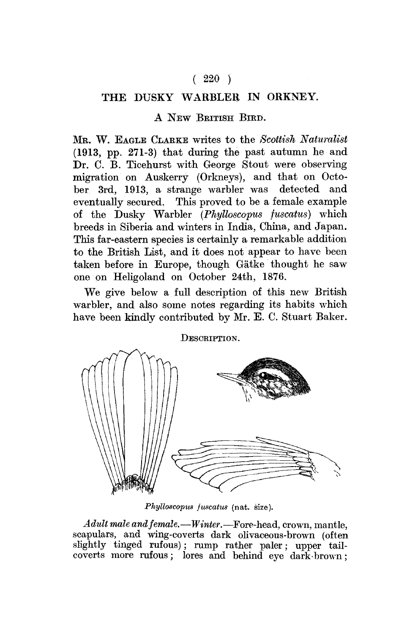## $(220)$

# THE DUSKY WARBLER IN ORKNEY.

#### A NEW BRITISH BIRD.

MB. W. EAGLE CLARKE writes to the *Scottish Naturalist*  (1913, pp. 271-3) that during the past autumn he and Dr. C. B. Ticehurst with George Stout were observing migration on Auskerry (Orkneys), and that on Octo-<br>her 3rd 1913 a strange warbler was detected and  $ber$  3rd, 1913, a strange warbler was eventually secured. This proved to be a female example of the Dusky Warbler *(Phylloscopus fuscatus)* which breeds in Siberia and winters in India, China, and Japan. This far-eastern species is certainly a remarkable addition to the British List, and it does not appear to have been taken before in Europe, though Gatke thought he saw one on Heligoland on October 24th, 1876.

We give below a full description of this new British warbler, and also some notes regarding its habits which have been kindly contributed by Mr. E. C. Stuart Baker.



*Phylloscopus fuscatus* (nat. size).

*Adult male and female.*—*Winter.*—Fore-head, crown, mantle, scapulars, and wing-coverts dark olivaceous-brown (often slightly tinged rufous); rump rather paler; upper tailcoverts more rufous; lores and behind eye dark-brown;

### DESCRIPTION.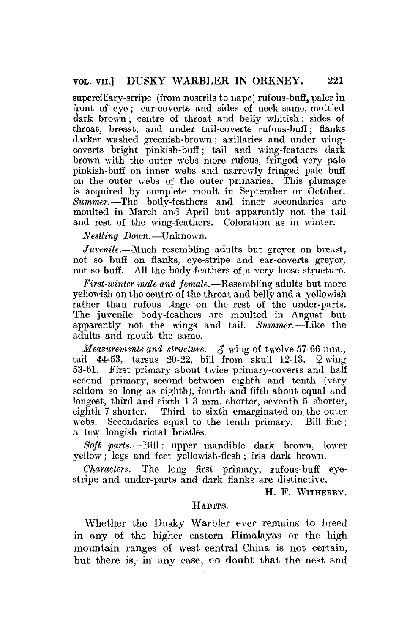superciliary-stripe (from nostrils to nape) rufous-buff, paler in front of eye; ear-coverts and sides of neck same, mottled dark brown; centre of throat and belly whitish; sides of throat, breast, and under tail-coverts rufous-buff; flanks darker washed greenish-brown; axillaries and under wingcoverts bright pinkish-buff; tail and wing-feathers dark brown with the outer webs more rufous, fringed very pale pinkish-buff on inner webs and narrowly fringed pale buff on the outer webs of the outer primaries. This plumage is acquired by complete moult in September or October. *Summer.*—The body-feathers and inner secondaries are moulted in March and April but apparently not the tail and rest of the wing-feathers. Coloration as in winter.

*Nestling Down.*—Unknown.

*Juvenile.*—Much resembling adults but greyer on breast, not so buff on flanks, eye-stripe and ear-coverts greyer, not so buff. All the body-feathers of a very loose structure.

*First-winter male and female.*—Resembling adults but more yellowish on the centre of the throat and belly and a yellowish rather than rufous tinge on the rest of the under-parts. The juvenile body-feathers are moulted in August but apparently not the wings and tail. *Summer.*—Like the adults and moult the same.

*Measurements and structure.*—*\$* wing of twelve 57-66 mm., tail 44-53, tarsus 20-22, bill from skull 12-13.  $\varphi$  wing 53-61. First primary about twice primary-coverts and half second primary, second between eighth and tenth (very seldom so long as eighth), fourth and fifth about equal and longest, third and sixth 1-3 mm. shorter, seventh 5 shorter, eighth 7 shorter. Third to sixth emarginated on the outer webs. Secondaries equal to the tenth primary. Bill fine ; a few longish rictal bristles.

*Soft parts.*—Bill: upper mandible dark brown, lower yellow; legs and feet yellowish-flesh; iris dark brown.

*Characters.*—The long first primary, rufous-buff eyestripe and under-parts and dark flanks are distinctive.

H. F. WITHERBY.

#### HABITS.

Whether the Dusky Warbler ever remains to breed in any of the higher eastern Himalayas or the high mountain ranges of west central China is not certain, but there is, in any case, no doubt that the nest and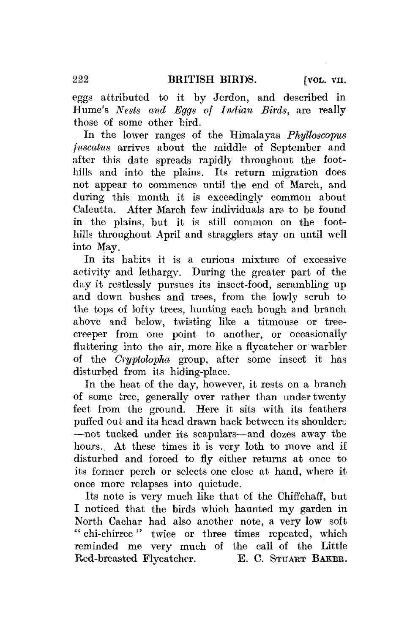eggs attributed to it by Jerdon, and described in Hume's *Nests and Eggs of Indian Birds,* are really those of some other bird.

In the lower ranges of the Himalayas *Phyttoscopus jtiscatus* arrives about the middle of September and after this date spreads rapidly throughout the foothills and into the plains. Its return migration does not appear to commence until the end of March, and during this month it is exceedingly common about Calcutta. After March few individuals are to be found in the plains, but it is still common on the foothills throughout April and stragglers stay on until well into May.

In its habits it is a curious mixture of excessive activity and lethargy. During the greater part of the day it restlessly pursues its insect-food, scrambling up and down bushes and trees, from the lowly scrub to the tops of lofty trees, hunting each bough and branch above and below, twisting like a titmouse or treecreeper from one point to another, or occasionally fluttering into the air, more like a flycatcher or warbler of the *Cryptolopha* group, after some insect it has disturbed from its hiding-place.

In the heat of the day, however, it rests on a branch of some tree, generally over rather than under twenty feet from the ground. Here it sits with its feathers puffed out and its head drawn back between its shoulders —not tucked under its scapulars—and dozes away the hours.. At these times it is very loth to move and if disturbed and forced to fly either returns at once to its former perch or selects one close at hand, where it once more relapses into quietude.

Its note is very much like that of the Chiffchaff, but I noticed that the birds which haunted my garden in North Cachar had also another note, a very low soft " chi-chirree" twice or three times repeated, which reminded me very much of the call of the Little Red-breasted Flycatcher. E. C. STUART BAKER.